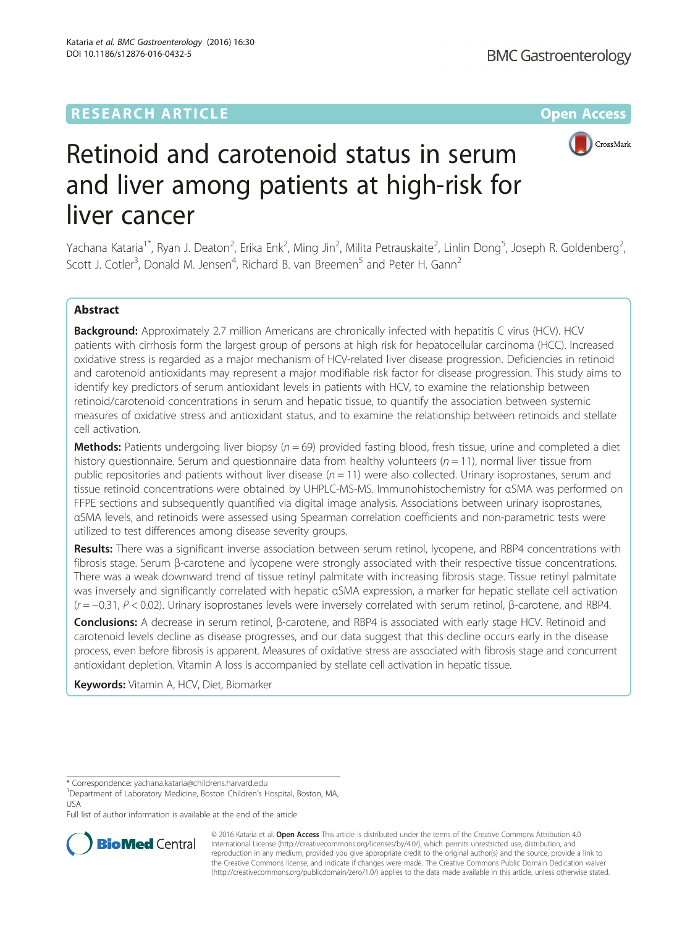# **RESEARCH ARTICLE Example 2014 12:30 The Contract of Contract Article 2014**



# Retinoid and carotenoid status in serum and liver among patients at high-risk for liver cancer

Yachana Kataria<sup>1\*</sup>, Ryan J. Deaton<sup>2</sup>, Erika Enk<sup>2</sup>, Ming Jin<sup>2</sup>, Milita Petrauskaite<sup>2</sup>, Linlin Dong<sup>5</sup>, Joseph R. Goldenberg<sup>2</sup> , Scott J. Cotler<sup>3</sup>, Donald M. Jensen<sup>4</sup>, Richard B. van Breemen<sup>5</sup> and Peter H. Gann<sup>2</sup>

# Abstract

Background: Approximately 2.7 million Americans are chronically infected with hepatitis C virus (HCV). HCV patients with cirrhosis form the largest group of persons at high risk for hepatocellular carcinoma (HCC). Increased oxidative stress is regarded as a major mechanism of HCV-related liver disease progression. Deficiencies in retinoid and carotenoid antioxidants may represent a major modifiable risk factor for disease progression. This study aims to identify key predictors of serum antioxidant levels in patients with HCV, to examine the relationship between retinoid/carotenoid concentrations in serum and hepatic tissue, to quantify the association between systemic measures of oxidative stress and antioxidant status, and to examine the relationship between retinoids and stellate cell activation.

**Methods:** Patients undergoing liver biopsy ( $n = 69$ ) provided fasting blood, fresh tissue, urine and completed a diet history questionnaire. Serum and questionnaire data from healthy volunteers ( $n = 11$ ), normal liver tissue from public repositories and patients without liver disease  $(n = 11)$  were also collected. Urinary isoprostanes, serum and tissue retinoid concentrations were obtained by UHPLC-MS-MS. Immunohistochemistry for αSMA was performed on FFPE sections and subsequently quantified via digital image analysis. Associations between urinary isoprostanes, αSMA levels, and retinoids were assessed using Spearman correlation coefficients and non-parametric tests were utilized to test differences among disease severity groups.

Results: There was a significant inverse association between serum retinol, lycopene, and RBP4 concentrations with fibrosis stage. Serum β-carotene and lycopene were strongly associated with their respective tissue concentrations. There was a weak downward trend of tissue retinyl palmitate with increasing fibrosis stage. Tissue retinyl palmitate was inversely and significantly correlated with hepatic αSMA expression, a marker for hepatic stellate cell activation (r = −0.31, P < 0.02). Urinary isoprostanes levels were inversely correlated with serum retinol, β-carotene, and RBP4.

Conclusions: A decrease in serum retinol, β-carotene, and RBP4 is associated with early stage HCV. Retinoid and carotenoid levels decline as disease progresses, and our data suggest that this decline occurs early in the disease process, even before fibrosis is apparent. Measures of oxidative stress are associated with fibrosis stage and concurrent antioxidant depletion. Vitamin A loss is accompanied by stellate cell activation in hepatic tissue.

Keywords: Vitamin A, HCV, Diet, Biomarker

Full list of author information is available at the end of the article



© 2016 Kataria et al. Open Access This article is distributed under the terms of the Creative Commons Attribution 4.0 International License [\(http://creativecommons.org/licenses/by/4.0/](http://creativecommons.org/licenses/by/4.0/)), which permits unrestricted use, distribution, and reproduction in any medium, provided you give appropriate credit to the original author(s) and the source, provide a link to the Creative Commons license, and indicate if changes were made. The Creative Commons Public Domain Dedication waiver [\(http://creativecommons.org/publicdomain/zero/1.0/](http://creativecommons.org/publicdomain/zero/1.0/)) applies to the data made available in this article, unless otherwise stated.

<sup>\*</sup> Correspondence: [yachana.kataria@childrens.harvard.edu](mailto:yachana.kataria@childrens.harvard.edu) <sup>1</sup>

Department of Laboratory Medicine, Boston Children's Hospital, Boston, MA, USA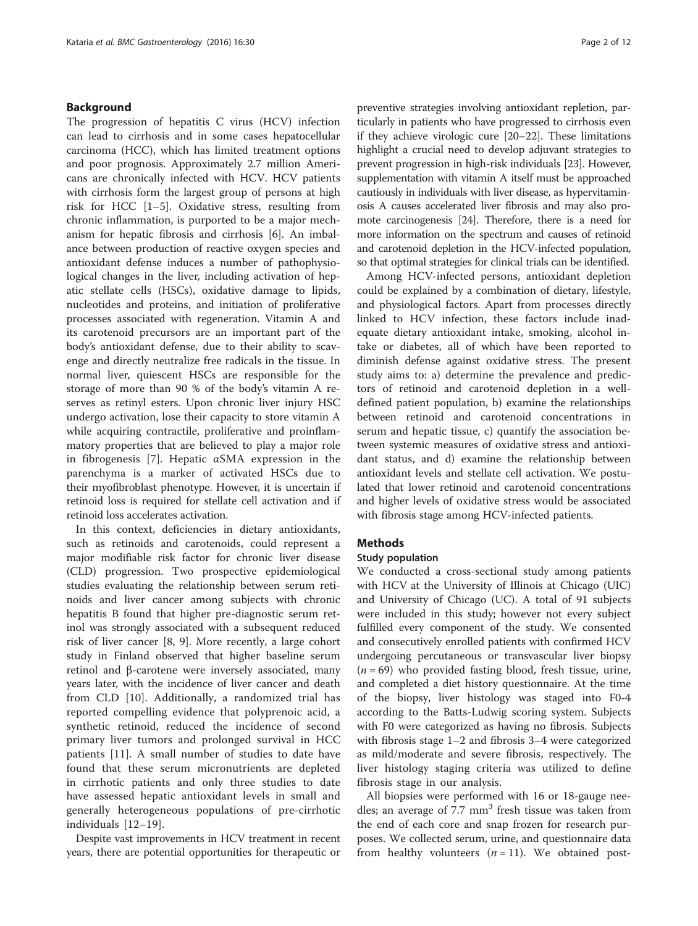### Background

The progression of hepatitis C virus (HCV) infection can lead to cirrhosis and in some cases hepatocellular carcinoma (HCC), which has limited treatment options and poor prognosis. Approximately 2.7 million Americans are chronically infected with HCV. HCV patients with cirrhosis form the largest group of persons at high risk for HCC [[1](#page-10-0)–[5](#page-10-0)]. Oxidative stress, resulting from chronic inflammation, is purported to be a major mechanism for hepatic fibrosis and cirrhosis [\[6](#page-10-0)]. An imbalance between production of reactive oxygen species and antioxidant defense induces a number of pathophysiological changes in the liver, including activation of hepatic stellate cells (HSCs), oxidative damage to lipids, nucleotides and proteins, and initiation of proliferative processes associated with regeneration. Vitamin A and its carotenoid precursors are an important part of the body's antioxidant defense, due to their ability to scavenge and directly neutralize free radicals in the tissue. In normal liver, quiescent HSCs are responsible for the storage of more than 90 % of the body's vitamin A reserves as retinyl esters. Upon chronic liver injury HSC undergo activation, lose their capacity to store vitamin A while acquiring contractile, proliferative and proinflammatory properties that are believed to play a major role in fibrogenesis [\[7](#page-10-0)]. Hepatic αSMA expression in the parenchyma is a marker of activated HSCs due to their myofibroblast phenotype. However, it is uncertain if retinoid loss is required for stellate cell activation and if retinoid loss accelerates activation.

In this context, deficiencies in dietary antioxidants, such as retinoids and carotenoids, could represent a major modifiable risk factor for chronic liver disease (CLD) progression. Two prospective epidemiological studies evaluating the relationship between serum retinoids and liver cancer among subjects with chronic hepatitis B found that higher pre-diagnostic serum retinol was strongly associated with a subsequent reduced risk of liver cancer [\[8](#page-10-0), [9](#page-10-0)]. More recently, a large cohort study in Finland observed that higher baseline serum retinol and β-carotene were inversely associated, many years later, with the incidence of liver cancer and death from CLD [\[10](#page-10-0)]. Additionally, a randomized trial has reported compelling evidence that polyprenoic acid, a synthetic retinoid, reduced the incidence of second primary liver tumors and prolonged survival in HCC patients [\[11](#page-10-0)]. A small number of studies to date have found that these serum micronutrients are depleted in cirrhotic patients and only three studies to date have assessed hepatic antioxidant levels in small and generally heterogeneous populations of pre-cirrhotic individuals [[12](#page-10-0)–[19\]](#page-10-0).

Despite vast improvements in HCV treatment in recent years, there are potential opportunities for therapeutic or preventive strategies involving antioxidant repletion, particularly in patients who have progressed to cirrhosis even if they achieve virologic cure [\[20](#page-10-0)–[22](#page-10-0)]. These limitations highlight a crucial need to develop adjuvant strategies to prevent progression in high-risk individuals [\[23](#page-10-0)]. However, supplementation with vitamin A itself must be approached cautiously in individuals with liver disease, as hypervitaminosis A causes accelerated liver fibrosis and may also promote carcinogenesis [\[24](#page-10-0)]. Therefore, there is a need for more information on the spectrum and causes of retinoid and carotenoid depletion in the HCV-infected population, so that optimal strategies for clinical trials can be identified.

Among HCV-infected persons, antioxidant depletion could be explained by a combination of dietary, lifestyle, and physiological factors. Apart from processes directly linked to HCV infection, these factors include inadequate dietary antioxidant intake, smoking, alcohol intake or diabetes, all of which have been reported to diminish defense against oxidative stress. The present study aims to: a) determine the prevalence and predictors of retinoid and carotenoid depletion in a welldefined patient population, b) examine the relationships between retinoid and carotenoid concentrations in serum and hepatic tissue, c) quantify the association between systemic measures of oxidative stress and antioxidant status, and d) examine the relationship between antioxidant levels and stellate cell activation. We postulated that lower retinoid and carotenoid concentrations and higher levels of oxidative stress would be associated with fibrosis stage among HCV-infected patients.

## Methods

#### Study population

We conducted a cross-sectional study among patients with HCV at the University of Illinois at Chicago (UIC) and University of Chicago (UC). A total of 91 subjects were included in this study; however not every subject fulfilled every component of the study. We consented and consecutively enrolled patients with confirmed HCV undergoing percutaneous or transvascular liver biopsy  $(n = 69)$  who provided fasting blood, fresh tissue, urine, and completed a diet history questionnaire. At the time of the biopsy, liver histology was staged into F0-4 according to the Batts-Ludwig scoring system. Subjects with F0 were categorized as having no fibrosis. Subjects with fibrosis stage 1–2 and fibrosis 3–4 were categorized as mild/moderate and severe fibrosis, respectively. The liver histology staging criteria was utilized to define fibrosis stage in our analysis.

All biopsies were performed with 16 or 18-gauge needles; an average of  $7.7 \text{ mm}^3$  fresh tissue was taken from the end of each core and snap frozen for research purposes. We collected serum, urine, and questionnaire data from healthy volunteers  $(n = 11)$ . We obtained post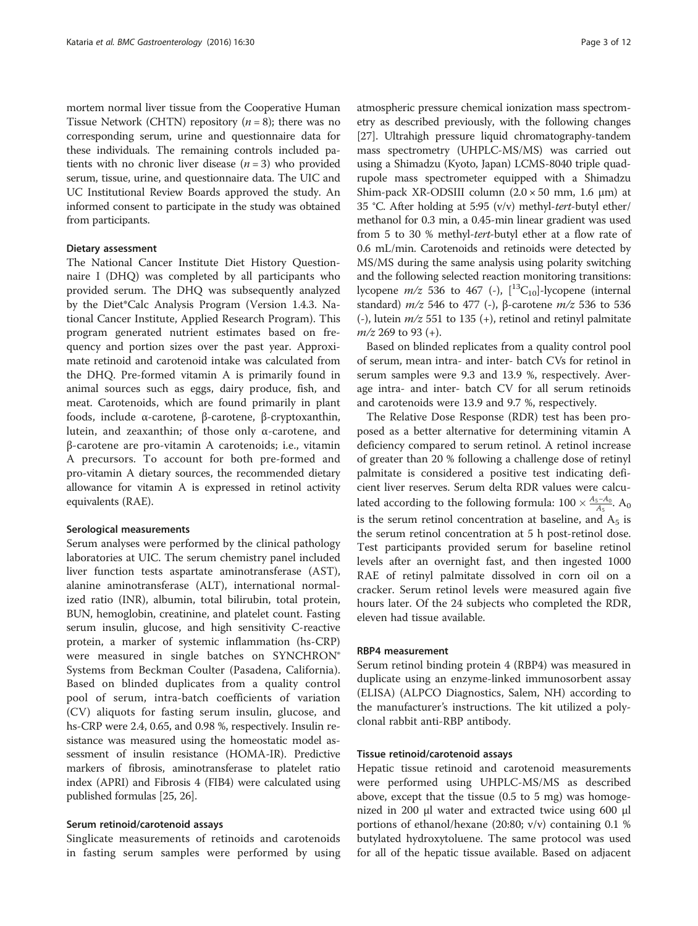mortem normal liver tissue from the Cooperative Human Tissue Network (CHTN) repository  $(n = 8)$ ; there was no corresponding serum, urine and questionnaire data for these individuals. The remaining controls included patients with no chronic liver disease  $(n = 3)$  who provided serum, tissue, urine, and questionnaire data. The UIC and UC Institutional Review Boards approved the study. An informed consent to participate in the study was obtained from participants.

#### Dietary assessment

The National Cancer Institute Diet History Questionnaire I (DHQ) was completed by all participants who provided serum. The DHQ was subsequently analyzed by the Diet\*Calc Analysis Program (Version 1.4.3. National Cancer Institute, Applied Research Program). This program generated nutrient estimates based on frequency and portion sizes over the past year. Approximate retinoid and carotenoid intake was calculated from the DHQ. Pre-formed vitamin A is primarily found in animal sources such as eggs, dairy produce, fish, and meat. Carotenoids, which are found primarily in plant foods, include α-carotene, β-carotene, β-cryptoxanthin, lutein, and zeaxanthin; of those only α-carotene, and β-carotene are pro-vitamin A carotenoids; i.e., vitamin A precursors. To account for both pre-formed and pro-vitamin A dietary sources, the recommended dietary allowance for vitamin A is expressed in retinol activity equivalents (RAE).

#### Serological measurements

Serum analyses were performed by the clinical pathology laboratories at UIC. The serum chemistry panel included liver function tests aspartate aminotransferase (AST), alanine aminotransferase (ALT), international normalized ratio (INR), albumin, total bilirubin, total protein, BUN, hemoglobin, creatinine, and platelet count. Fasting serum insulin, glucose, and high sensitivity C-reactive protein, a marker of systemic inflammation (hs-CRP) were measured in single batches on SYNCHRON® Systems from Beckman Coulter (Pasadena, California). Based on blinded duplicates from a quality control pool of serum, intra-batch coefficients of variation (CV) aliquots for fasting serum insulin, glucose, and hs-CRP were 2.4, 0.65, and 0.98 %, respectively. Insulin resistance was measured using the homeostatic model assessment of insulin resistance (HOMA-IR). Predictive markers of fibrosis, aminotransferase to platelet ratio index (APRI) and Fibrosis 4 (FIB4) were calculated using published formulas [\[25, 26\]](#page-10-0).

#### Serum retinoid/carotenoid assays

Singlicate measurements of retinoids and carotenoids in fasting serum samples were performed by using atmospheric pressure chemical ionization mass spectrometry as described previously, with the following changes [[27](#page-10-0)]. Ultrahigh pressure liquid chromatography-tandem mass spectrometry (UHPLC-MS/MS) was carried out using a Shimadzu (Kyoto, Japan) LCMS-8040 triple quadrupole mass spectrometer equipped with a Shimadzu Shim-pack XR-ODSIII column  $(2.0 \times 50$  mm, 1.6  $\mu$ m) at 35 °C. After holding at 5:95  $(v/v)$  methyl-tert-butyl ether/ methanol for 0.3 min, a 0.45-min linear gradient was used from 5 to 30 % methyl-tert-butyl ether at a flow rate of 0.6 mL/min. Carotenoids and retinoids were detected by MS/MS during the same analysis using polarity switching and the following selected reaction monitoring transitions: lycopene  $m/z$  536 to 467 (-),  $[^{13}C_{10}]$ -lycopene (internal standard)  $m/z$  546 to 477 (-), β-carotene  $m/z$  536 to 536 (-), lutein  $m/z$  551 to 135 (+), retinol and retinyl palmitate  $m/z$  269 to 93 (+).

Based on blinded replicates from a quality control pool of serum, mean intra- and inter- batch CVs for retinol in serum samples were 9.3 and 13.9 %, respectively. Average intra- and inter- batch CV for all serum retinoids and carotenoids were 13.9 and 9.7 %, respectively.

The Relative Dose Response (RDR) test has been proposed as a better alternative for determining vitamin A deficiency compared to serum retinol. A retinol increase of greater than 20 % following a challenge dose of retinyl palmitate is considered a positive test indicating deficient liver reserves. Serum delta RDR values were calculated according to the following formula:  $100 \times \frac{A_5 - A_0}{A_5}$ . A<sub>0</sub> is the serum retinol concentration at baseline, and  $A_5$  is the serum retinol concentration at 5 h post-retinol dose. Test participants provided serum for baseline retinol levels after an overnight fast, and then ingested 1000 RAE of retinyl palmitate dissolved in corn oil on a cracker. Serum retinol levels were measured again five hours later. Of the 24 subjects who completed the RDR, eleven had tissue available.

#### RBP4 measurement

Serum retinol binding protein 4 (RBP4) was measured in duplicate using an enzyme-linked immunosorbent assay (ELISA) (ALPCO Diagnostics, Salem, NH) according to the manufacturer's instructions. The kit utilized a polyclonal rabbit anti-RBP antibody.

#### Tissue retinoid/carotenoid assays

Hepatic tissue retinoid and carotenoid measurements were performed using UHPLC-MS/MS as described above, except that the tissue (0.5 to 5 mg) was homogenized in 200 μl water and extracted twice using 600 μl portions of ethanol/hexane (20:80; v/v) containing 0.1 % butylated hydroxytoluene. The same protocol was used for all of the hepatic tissue available. Based on adjacent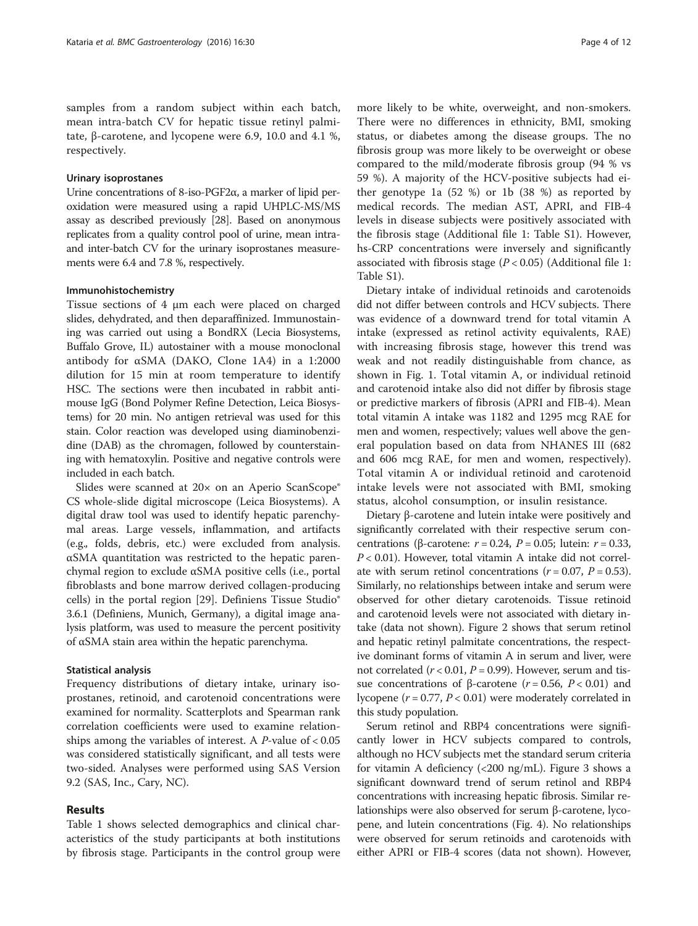samples from a random subject within each batch, mean intra-batch CV for hepatic tissue retinyl palmitate, β-carotene, and lycopene were 6.9, 10.0 and 4.1 %, respectively.

#### Urinary isoprostanes

Urine concentrations of 8-iso-PGF2α, a marker of lipid peroxidation were measured using a rapid UHPLC-MS/MS assay as described previously [\[28\]](#page--1-0). Based on anonymous replicates from a quality control pool of urine, mean intraand inter-batch CV for the urinary isoprostanes measurements were 6.4 and 7.8 %, respectively.

#### Immunohistochemistry

Tissue sections of 4 μm each were placed on charged slides, dehydrated, and then deparaffinized. Immunostaining was carried out using a BondRX (Lecia Biosystems, Buffalo Grove, IL) autostainer with a mouse monoclonal antibody for αSMA (DAKO, Clone 1A4) in a 1:2000 dilution for 15 min at room temperature to identify HSC. The sections were then incubated in rabbit antimouse IgG (Bond Polymer Refine Detection, Leica Biosystems) for 20 min. No antigen retrieval was used for this stain. Color reaction was developed using diaminobenzidine (DAB) as the chromagen, followed by counterstaining with hematoxylin. Positive and negative controls were included in each batch.

Slides were scanned at 20× on an Aperio ScanScope® CS whole-slide digital microscope (Leica Biosystems). A digital draw tool was used to identify hepatic parenchymal areas. Large vessels, inflammation, and artifacts (e.g., folds, debris, etc.) were excluded from analysis. αSMA quantitation was restricted to the hepatic parenchymal region to exclude αSMA positive cells (i.e., portal fibroblasts and bone marrow derived collagen-producing cells) in the portal region [\[29](#page--1-0)]. Definiens Tissue Studio® 3.6.1 (Definiens, Munich, Germany), a digital image analysis platform, was used to measure the percent positivity of αSMA stain area within the hepatic parenchyma.

#### Statistical analysis

Frequency distributions of dietary intake, urinary isoprostanes, retinoid, and carotenoid concentrations were examined for normality. Scatterplots and Spearman rank correlation coefficients were used to examine relationships among the variables of interest. A *P*-value of  $< 0.05$ was considered statistically significant, and all tests were two-sided. Analyses were performed using SAS Version 9.2 (SAS, Inc., Cary, NC).

#### Results

Table [1](#page-4-0) shows selected demographics and clinical characteristics of the study participants at both institutions by fibrosis stage. Participants in the control group were

more likely to be white, overweight, and non-smokers. There were no differences in ethnicity, BMI, smoking status, or diabetes among the disease groups. The no fibrosis group was more likely to be overweight or obese compared to the mild/moderate fibrosis group (94 % vs 59 %). A majority of the HCV-positive subjects had either genotype 1a (52 %) or 1b (38 %) as reported by medical records. The median AST, APRI, and FIB-4 levels in disease subjects were positively associated with the fibrosis stage (Additional file [1:](#page-10-0) Table S1). However, hs-CRP concentrations were inversely and significantly associated with fibrosis stage ( $P < 0.05$ ) (Additional file [1](#page-10-0): Table S1).

Dietary intake of individual retinoids and carotenoids did not differ between controls and HCV subjects. There was evidence of a downward trend for total vitamin A intake (expressed as retinol activity equivalents, RAE) with increasing fibrosis stage, however this trend was weak and not readily distinguishable from chance, as shown in Fig. [1](#page-4-0). Total vitamin A, or individual retinoid and carotenoid intake also did not differ by fibrosis stage or predictive markers of fibrosis (APRI and FIB-4). Mean total vitamin A intake was 1182 and 1295 mcg RAE for men and women, respectively; values well above the general population based on data from NHANES III (682 and 606 mcg RAE, for men and women, respectively). Total vitamin A or individual retinoid and carotenoid intake levels were not associated with BMI, smoking status, alcohol consumption, or insulin resistance.

Dietary β-carotene and lutein intake were positively and significantly correlated with their respective serum concentrations (β-carotene:  $r = 0.24$ ,  $P = 0.05$ ; lutein:  $r = 0.33$ ,  $P < 0.01$ ). However, total vitamin A intake did not correlate with serum retinol concentrations ( $r = 0.07$ ,  $P = 0.53$ ). Similarly, no relationships between intake and serum were observed for other dietary carotenoids. Tissue retinoid and carotenoid levels were not associated with dietary intake (data not shown). Figure [2](#page-5-0) shows that serum retinol and hepatic retinyl palmitate concentrations, the respective dominant forms of vitamin A in serum and liver, were not correlated ( $r < 0.01$ ,  $P = 0.99$ ). However, serum and tissue concentrations of β-carotene ( $r = 0.56$ ,  $P < 0.01$ ) and lycopene ( $r = 0.77$ ,  $P < 0.01$ ) were moderately correlated in this study population.

Serum retinol and RBP4 concentrations were significantly lower in HCV subjects compared to controls, although no HCV subjects met the standard serum criteria for vitamin A deficiency (<200 ng/mL). Figure [3](#page-6-0) shows a significant downward trend of serum retinol and RBP4 concentrations with increasing hepatic fibrosis. Similar relationships were also observed for serum β-carotene, lycopene, and lutein concentrations (Fig. [4\)](#page-7-0). No relationships were observed for serum retinoids and carotenoids with either APRI or FIB-4 scores (data not shown). However,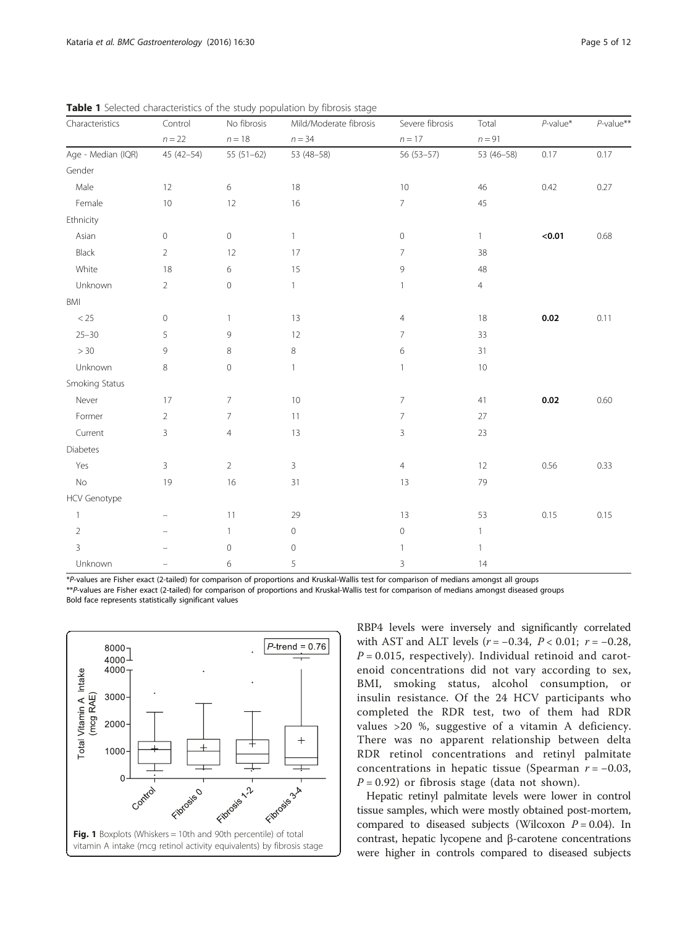| Characteristics     | Control<br>$n = 22$      | No fibrosis<br>$n=18$ | Mild/Moderate fibrosis<br>$n = 34$ | Severe fibrosis<br>$n=17$ | Total<br>$n = 91$ | $P$ -value* | $P$ -value** |
|---------------------|--------------------------|-----------------------|------------------------------------|---------------------------|-------------------|-------------|--------------|
|                     |                          |                       |                                    |                           |                   |             |              |
| Gender              |                          |                       |                                    |                           |                   |             |              |
| Male                | 12                       | $6\,$                 | 18                                 | 10                        | 46                | 0.42        | 0.27         |
| Female              | 10                       | 12                    | 16                                 | $\overline{7}$            | 45                |             |              |
| Ethnicity           |                          |                       |                                    |                           |                   |             |              |
| Asian               | 0                        | $\mathbb O$           | $\mathbf{1}$                       | $\mathbb O$               | $\mathbf{1}$      | < 0.01      | 0.68         |
| Black               | $\overline{2}$           | 12                    | 17                                 | 7                         | 38                |             |              |
| White               | 18                       | 6                     | 15                                 | 9                         | 48                |             |              |
| Unknown             | $\overline{2}$           | $\mathbb O$           | $\mathbf{1}$                       | $\mathbf{1}$              | $\overline{4}$    |             |              |
| BMI                 |                          |                       |                                    |                           |                   |             |              |
| $<25\,$             | $\circ$                  | $\mathbf{1}$          | 13                                 | $\overline{4}$            | 18                | 0.02        | 0.11         |
| $25 - 30$           | 5                        | 9                     | 12                                 | 7                         | 33                |             |              |
| > 30                | 9                        | 8                     | $\,8\,$                            | 6                         | 31                |             |              |
| Unknown             | 8                        | $\mathsf{O}\xspace$   | $\mathbf{1}$                       | $\mathbf{1}$              | 10                |             |              |
| Smoking Status      |                          |                       |                                    |                           |                   |             |              |
| Never               | 17                       | 7                     | $10$                               | $\overline{7}$            | 41                | 0.02        | 0.60         |
| Former              | $\overline{2}$           | $\overline{7}$        | 11                                 | $\overline{7}$            | 27                |             |              |
| Current             | $\overline{3}$           | $\overline{4}$        | 13                                 | 3                         | 23                |             |              |
| Diabetes            |                          |                       |                                    |                           |                   |             |              |
| Yes                 | $\mathbf{3}$             | $\overline{2}$        | $\mathsf{3}$                       | $\overline{4}$            | 12                | 0.56        | 0.33         |
| No                  | 19                       | 16                    | 31                                 | 13                        | 79                |             |              |
| <b>HCV Genotype</b> |                          |                       |                                    |                           |                   |             |              |
| $\mathbf{1}$        | $\overline{\phantom{0}}$ | 11                    | 29                                 | 13                        | 53                | 0.15        | 0.15         |
| $\overline{2}$      |                          | $\mathbf{1}$          | $\mathsf{O}\xspace$                | $\mathbf 0$               | $\mathbf{1}$      |             |              |
| 3                   |                          | $\mathbf 0$           | $\mathsf{O}\xspace$                | $\mathbf{1}$              | $\mathbf{1}$      |             |              |
| Unknown             |                          | 6                     | 5                                  | 3                         | 14                |             |              |

<span id="page-4-0"></span>Table 1 Selected characteristics of the study population by fibrosis stage

\*P-values are Fisher exact (2-tailed) for comparison of proportions and Kruskal-Wallis test for comparison of medians amongst all groups \*\*P-values are Fisher exact (2-tailed) for comparison of proportions and Kruskal-Wallis test for comparison of medians amongst diseased groups

Bold face represents statistically significant values



RBP4 levels were inversely and significantly correlated with AST and ALT levels  $(r = -0.34, P < 0.01; r = -0.28,$  $P = 0.015$ , respectively). Individual retinoid and carotenoid concentrations did not vary according to sex, BMI, smoking status, alcohol consumption, or insulin resistance. Of the 24 HCV participants who completed the RDR test, two of them had RDR values >20 %, suggestive of a vitamin A deficiency. There was no apparent relationship between delta RDR retinol concentrations and retinyl palmitate concentrations in hepatic tissue (Spearman  $r = -0.03$ ,  $P = 0.92$ ) or fibrosis stage (data not shown).

Hepatic retinyl palmitate levels were lower in control tissue samples, which were mostly obtained post-mortem, compared to diseased subjects (Wilcoxon  $P = 0.04$ ). In contrast, hepatic lycopene and β-carotene concentrations were higher in controls compared to diseased subjects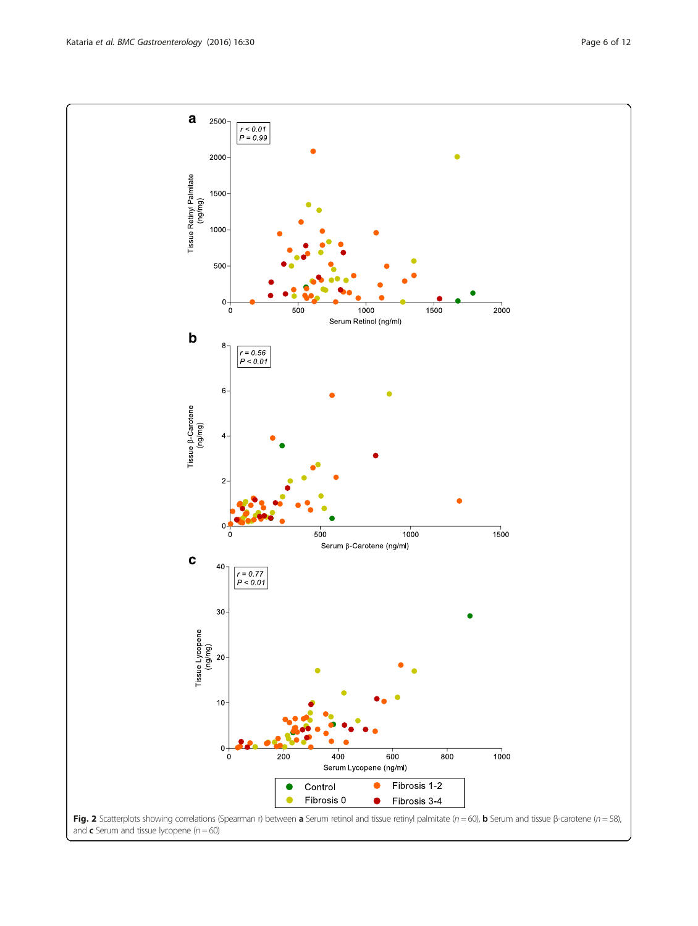<span id="page-5-0"></span>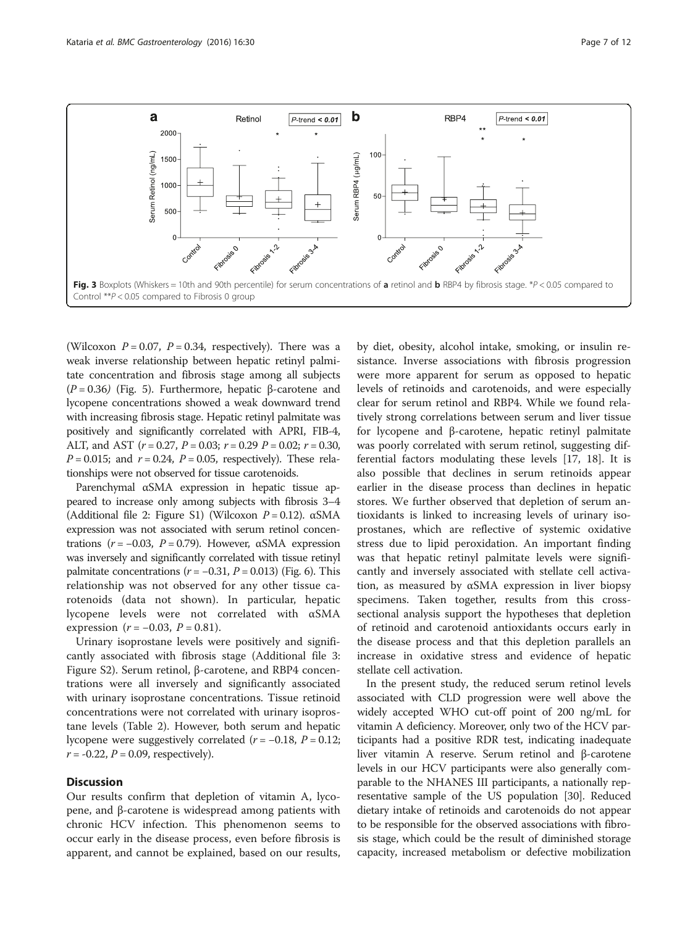<span id="page-6-0"></span>

(Wilcoxon  $P = 0.07$ ,  $P = 0.34$ , respectively). There was a weak inverse relationship between hepatic retinyl palmitate concentration and fibrosis stage among all subjects (P = 0.36) (Fig. [5](#page-7-0)). Furthermore, hepatic β-carotene and lycopene concentrations showed a weak downward trend with increasing fibrosis stage. Hepatic retinyl palmitate was positively and significantly correlated with APRI, FIB-4, ALT, and AST  $(r = 0.27, P = 0.03; r = 0.29 P = 0.02; r = 0.30,$  $P = 0.015$ ; and  $r = 0.24$ ,  $P = 0.05$ , respectively). These relationships were not observed for tissue carotenoids.

Parenchymal αSMA expression in hepatic tissue appeared to increase only among subjects with fibrosis 3–4 (Additional file [2](#page-10-0): Figure S1) (Wilcoxon  $P = 0.12$ ). αSMA expression was not associated with serum retinol concentrations ( $r = -0.03$ ,  $P = 0.79$ ). However, αSMA expression was inversely and significantly correlated with tissue retinyl palmitate concentrations ( $r = -0.31$ ,  $P = 0.013$ ) (Fig. [6](#page-8-0)). This relationship was not observed for any other tissue carotenoids (data not shown). In particular, hepatic lycopene levels were not correlated with αSMA expression  $(r = -0.03, P = 0.81)$ .

Urinary isoprostane levels were positively and significantly associated with fibrosis stage (Additional file [3](#page-10-0): Figure S2). Serum retinol, β-carotene, and RBP4 concentrations were all inversely and significantly associated with urinary isoprostane concentrations. Tissue retinoid concentrations were not correlated with urinary isoprostane levels (Table [2](#page-8-0)). However, both serum and hepatic lycopene were suggestively correlated ( $r = -0.18$ ,  $P = 0.12$ ;  $r = -0.22$ ,  $P = 0.09$ , respectively).

# Discussion

Our results confirm that depletion of vitamin A, lycopene, and β-carotene is widespread among patients with chronic HCV infection. This phenomenon seems to occur early in the disease process, even before fibrosis is apparent, and cannot be explained, based on our results, by diet, obesity, alcohol intake, smoking, or insulin resistance. Inverse associations with fibrosis progression were more apparent for serum as opposed to hepatic levels of retinoids and carotenoids, and were especially clear for serum retinol and RBP4. While we found relatively strong correlations between serum and liver tissue for lycopene and β-carotene, hepatic retinyl palmitate was poorly correlated with serum retinol, suggesting differential factors modulating these levels [[17, 18](#page-10-0)]. It is also possible that declines in serum retinoids appear earlier in the disease process than declines in hepatic stores. We further observed that depletion of serum antioxidants is linked to increasing levels of urinary isoprostanes, which are reflective of systemic oxidative stress due to lipid peroxidation. An important finding was that hepatic retinyl palmitate levels were significantly and inversely associated with stellate cell activation, as measured by αSMA expression in liver biopsy specimens. Taken together, results from this crosssectional analysis support the hypotheses that depletion of retinoid and carotenoid antioxidants occurs early in the disease process and that this depletion parallels an increase in oxidative stress and evidence of hepatic stellate cell activation.

In the present study, the reduced serum retinol levels associated with CLD progression were well above the widely accepted WHO cut-off point of 200 ng/mL for vitamin A deficiency. Moreover, only two of the HCV participants had a positive RDR test, indicating inadequate liver vitamin A reserve. Serum retinol and β-carotene levels in our HCV participants were also generally comparable to the NHANES III participants, a nationally representative sample of the US population [\[30](#page--1-0)]. Reduced dietary intake of retinoids and carotenoids do not appear to be responsible for the observed associations with fibrosis stage, which could be the result of diminished storage capacity, increased metabolism or defective mobilization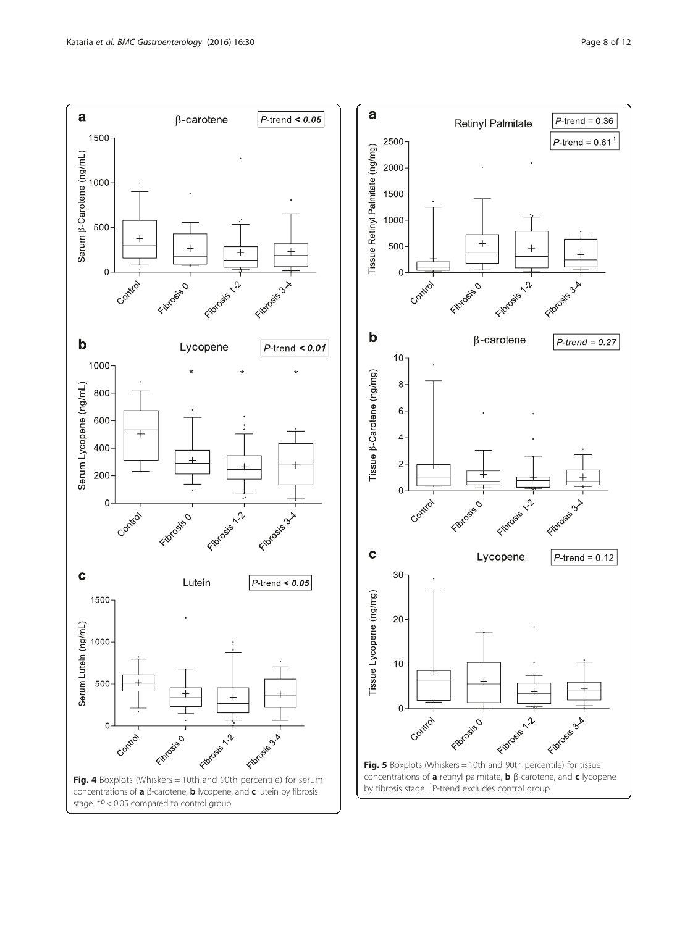<span id="page-7-0"></span>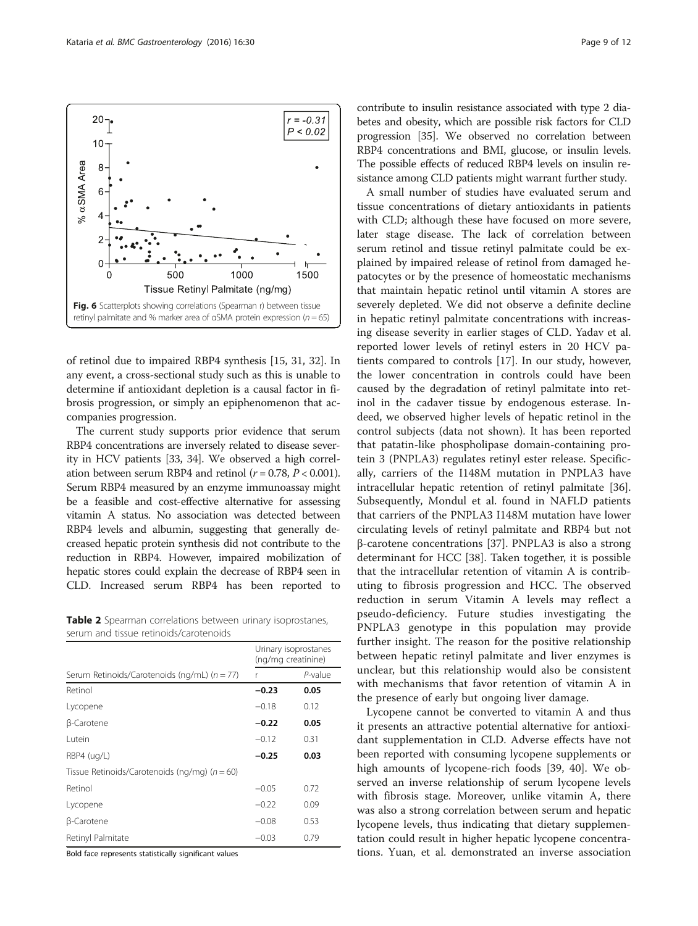<span id="page-8-0"></span>

of retinol due to impaired RBP4 synthesis [[15](#page-10-0), [31](#page--1-0), [32](#page--1-0)]. In any event, a cross-sectional study such as this is unable to determine if antioxidant depletion is a causal factor in fibrosis progression, or simply an epiphenomenon that accompanies progression.

The current study supports prior evidence that serum RBP4 concentrations are inversely related to disease severity in HCV patients [\[33, 34](#page--1-0)]. We observed a high correlation between serum RBP4 and retinol  $(r = 0.78, P < 0.001)$ . Serum RBP4 measured by an enzyme immunoassay might be a feasible and cost-effective alternative for assessing vitamin A status. No association was detected between RBP4 levels and albumin, suggesting that generally decreased hepatic protein synthesis did not contribute to the reduction in RBP4. However, impaired mobilization of hepatic stores could explain the decrease of RBP4 seen in CLD. Increased serum RBP4 has been reported to

Table 2 Spearman correlations between urinary isoprostanes, serum and tissue retinoids/carotenoids

|                                                   | Urinary isoprostanes<br>(ng/mg creatinine) |            |  |  |  |  |
|---------------------------------------------------|--------------------------------------------|------------|--|--|--|--|
| Serum Retinoids/Carotenoids (ng/mL) $(n = 77)$    | r                                          | $P$ -value |  |  |  |  |
| Retinol                                           | $-0.23$                                    | 0.05       |  |  |  |  |
| Lycopene                                          | $-0.18$                                    | 0.12       |  |  |  |  |
| <b>B-Carotene</b>                                 | $-0.22$                                    | 0.05       |  |  |  |  |
| Lutein                                            | $-0.12$                                    | 0.31       |  |  |  |  |
| RBP4 (ug/L)                                       | $-0.25$                                    | 0.03       |  |  |  |  |
| Tissue Retinoids/Carotenoids (ng/mg) ( $n = 60$ ) |                                            |            |  |  |  |  |
| Retinol                                           | $-0.05$                                    | 0.72       |  |  |  |  |
| Lycopene                                          | $-0.22$                                    | 0.09       |  |  |  |  |
| β-Carotene                                        | $-0.08$                                    | 0.53       |  |  |  |  |
| Retinyl Palmitate                                 | $-0.03$                                    | 0.79       |  |  |  |  |

Bold face represents statistically significant values

contribute to insulin resistance associated with type 2 diabetes and obesity, which are possible risk factors for CLD progression [\[35\]](#page--1-0). We observed no correlation between RBP4 concentrations and BMI, glucose, or insulin levels. The possible effects of reduced RBP4 levels on insulin resistance among CLD patients might warrant further study.

A small number of studies have evaluated serum and tissue concentrations of dietary antioxidants in patients with CLD; although these have focused on more severe, later stage disease. The lack of correlation between serum retinol and tissue retinyl palmitate could be explained by impaired release of retinol from damaged hepatocytes or by the presence of homeostatic mechanisms that maintain hepatic retinol until vitamin A stores are severely depleted. We did not observe a definite decline in hepatic retinyl palmitate concentrations with increasing disease severity in earlier stages of CLD. Yadav et al. reported lower levels of retinyl esters in 20 HCV patients compared to controls [[17\]](#page-10-0). In our study, however, the lower concentration in controls could have been caused by the degradation of retinyl palmitate into retinol in the cadaver tissue by endogenous esterase. Indeed, we observed higher levels of hepatic retinol in the control subjects (data not shown). It has been reported that patatin-like phospholipase domain-containing protein 3 (PNPLA3) regulates retinyl ester release. Specifically, carriers of the I148M mutation in PNPLA3 have intracellular hepatic retention of retinyl palmitate [\[36](#page--1-0)]. Subsequently, Mondul et al. found in NAFLD patients that carriers of the PNPLA3 I148M mutation have lower circulating levels of retinyl palmitate and RBP4 but not β-carotene concentrations [[37](#page--1-0)]. PNPLA3 is also a strong determinant for HCC [\[38\]](#page--1-0). Taken together, it is possible that the intracellular retention of vitamin A is contributing to fibrosis progression and HCC. The observed reduction in serum Vitamin A levels may reflect a pseudo-deficiency. Future studies investigating the PNPLA3 genotype in this population may provide further insight. The reason for the positive relationship between hepatic retinyl palmitate and liver enzymes is unclear, but this relationship would also be consistent with mechanisms that favor retention of vitamin A in the presence of early but ongoing liver damage.

Lycopene cannot be converted to vitamin A and thus it presents an attractive potential alternative for antioxidant supplementation in CLD. Adverse effects have not been reported with consuming lycopene supplements or high amounts of lycopene-rich foods [[39](#page--1-0), [40\]](#page--1-0). We observed an inverse relationship of serum lycopene levels with fibrosis stage. Moreover, unlike vitamin A, there was also a strong correlation between serum and hepatic lycopene levels, thus indicating that dietary supplementation could result in higher hepatic lycopene concentrations. Yuan, et al. demonstrated an inverse association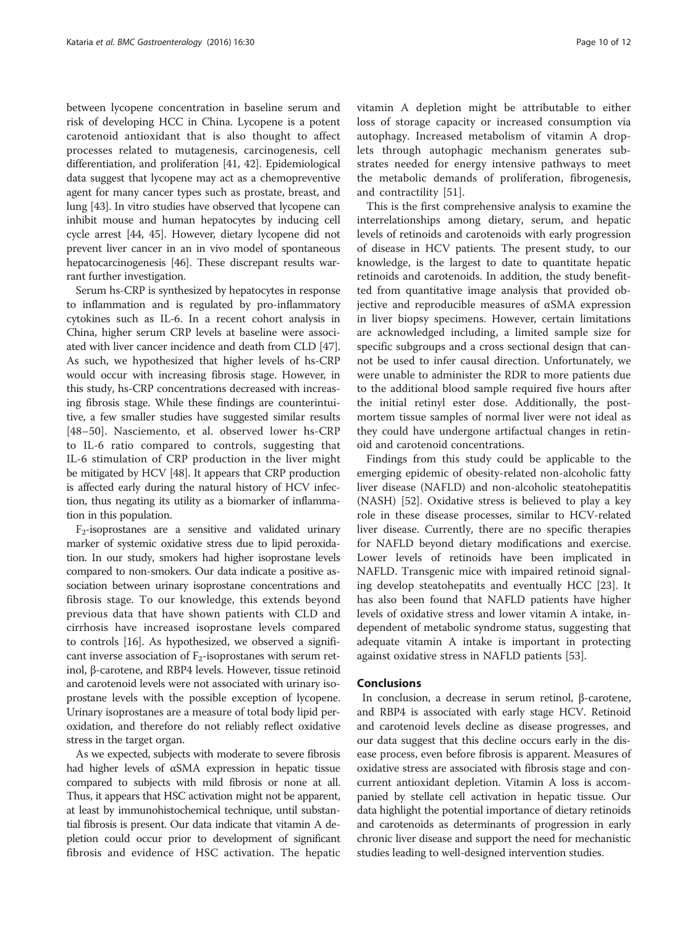between lycopene concentration in baseline serum and risk of developing HCC in China. Lycopene is a potent carotenoid antioxidant that is also thought to affect processes related to mutagenesis, carcinogenesis, cell differentiation, and proliferation [\[41, 42](#page--1-0)]. Epidemiological data suggest that lycopene may act as a chemopreventive agent for many cancer types such as prostate, breast, and lung [\[43\]](#page--1-0). In vitro studies have observed that lycopene can inhibit mouse and human hepatocytes by inducing cell cycle arrest [\[44, 45\]](#page--1-0). However, dietary lycopene did not prevent liver cancer in an in vivo model of spontaneous hepatocarcinogenesis [\[46\]](#page--1-0). These discrepant results warrant further investigation.

Serum hs-CRP is synthesized by hepatocytes in response to inflammation and is regulated by pro-inflammatory cytokines such as IL-6. In a recent cohort analysis in China, higher serum CRP levels at baseline were associated with liver cancer incidence and death from CLD [[47](#page--1-0)]. As such, we hypothesized that higher levels of hs-CRP would occur with increasing fibrosis stage. However, in this study, hs-CRP concentrations decreased with increasing fibrosis stage. While these findings are counterintuitive, a few smaller studies have suggested similar results [[48](#page--1-0)–[50\]](#page--1-0). Nasciemento, et al. observed lower hs-CRP to IL-6 ratio compared to controls, suggesting that IL-6 stimulation of CRP production in the liver might be mitigated by HCV [[48](#page--1-0)]. It appears that CRP production is affected early during the natural history of HCV infection, thus negating its utility as a biomarker of inflammation in this population.

 $F_2$ -isoprostanes are a sensitive and validated urinary marker of systemic oxidative stress due to lipid peroxidation. In our study, smokers had higher isoprostane levels compared to non-smokers. Our data indicate a positive association between urinary isoprostane concentrations and fibrosis stage. To our knowledge, this extends beyond previous data that have shown patients with CLD and cirrhosis have increased isoprostane levels compared to controls [\[16\]](#page-10-0). As hypothesized, we observed a significant inverse association of  $F_2$ -isoprostanes with serum retinol, β-carotene, and RBP4 levels. However, tissue retinoid and carotenoid levels were not associated with urinary isoprostane levels with the possible exception of lycopene. Urinary isoprostanes are a measure of total body lipid peroxidation, and therefore do not reliably reflect oxidative stress in the target organ.

As we expected, subjects with moderate to severe fibrosis had higher levels of αSMA expression in hepatic tissue compared to subjects with mild fibrosis or none at all. Thus, it appears that HSC activation might not be apparent, at least by immunohistochemical technique, until substantial fibrosis is present. Our data indicate that vitamin A depletion could occur prior to development of significant fibrosis and evidence of HSC activation. The hepatic vitamin A depletion might be attributable to either loss of storage capacity or increased consumption via autophagy. Increased metabolism of vitamin A droplets through autophagic mechanism generates substrates needed for energy intensive pathways to meet the metabolic demands of proliferation, fibrogenesis, and contractility [\[51](#page--1-0)].

This is the first comprehensive analysis to examine the interrelationships among dietary, serum, and hepatic levels of retinoids and carotenoids with early progression of disease in HCV patients. The present study, to our knowledge, is the largest to date to quantitate hepatic retinoids and carotenoids. In addition, the study benefitted from quantitative image analysis that provided objective and reproducible measures of αSMA expression in liver biopsy specimens. However, certain limitations are acknowledged including, a limited sample size for specific subgroups and a cross sectional design that cannot be used to infer causal direction. Unfortunately, we were unable to administer the RDR to more patients due to the additional blood sample required five hours after the initial retinyl ester dose. Additionally, the postmortem tissue samples of normal liver were not ideal as they could have undergone artifactual changes in retinoid and carotenoid concentrations.

Findings from this study could be applicable to the emerging epidemic of obesity-related non-alcoholic fatty liver disease (NAFLD) and non-alcoholic steatohepatitis (NASH) [[52](#page--1-0)]. Oxidative stress is believed to play a key role in these disease processes, similar to HCV-related liver disease. Currently, there are no specific therapies for NAFLD beyond dietary modifications and exercise. Lower levels of retinoids have been implicated in NAFLD. Transgenic mice with impaired retinoid signaling develop steatohepatits and eventually HCC [\[23](#page-10-0)]. It has also been found that NAFLD patients have higher levels of oxidative stress and lower vitamin A intake, independent of metabolic syndrome status, suggesting that adequate vitamin A intake is important in protecting against oxidative stress in NAFLD patients [[53](#page--1-0)].

#### Conclusions

In conclusion, a decrease in serum retinol, β-carotene, and RBP4 is associated with early stage HCV. Retinoid and carotenoid levels decline as disease progresses, and our data suggest that this decline occurs early in the disease process, even before fibrosis is apparent. Measures of oxidative stress are associated with fibrosis stage and concurrent antioxidant depletion. Vitamin A loss is accompanied by stellate cell activation in hepatic tissue. Our data highlight the potential importance of dietary retinoids and carotenoids as determinants of progression in early chronic liver disease and support the need for mechanistic studies leading to well-designed intervention studies.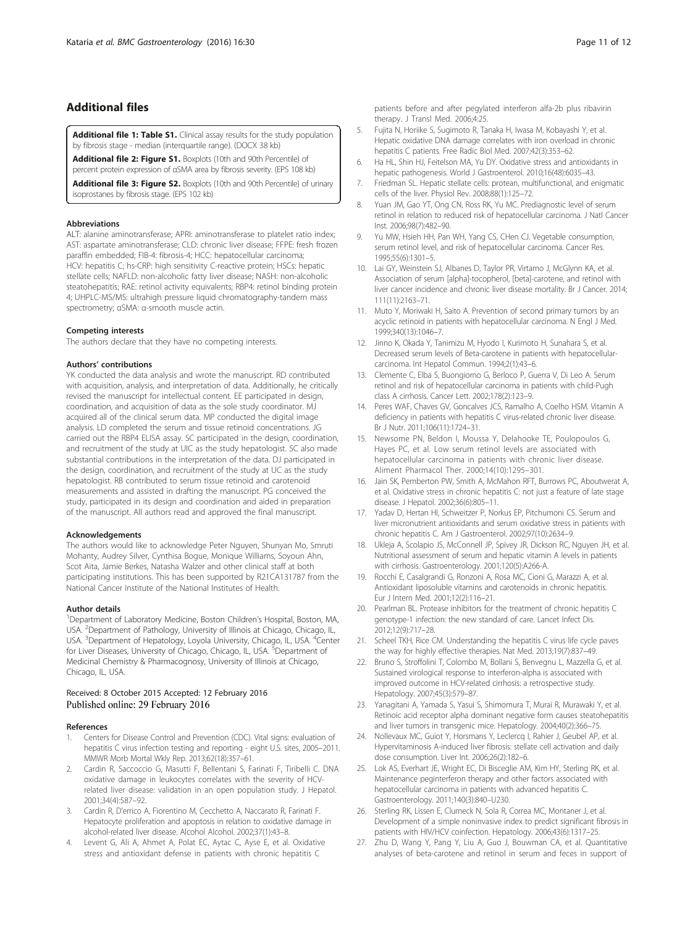# <span id="page-10-0"></span>Additional files

[Additional file 1: Table S1.](dx.doi.org/10.1186/s12876-016-0432-5) Clinical assay results for the study population by fibrosis stage - median (interquartile range). (DOCX 38 kb)

[Additional file 2: Figure S1.](dx.doi.org/10.1186/s12876-016-0432-5) Boxplots (10th and 90th Percentile) of

percent protein expression of αSMA area by fibrosis severity. (EPS 108 kb)

[Additional file 3: Figure S2.](dx.doi.org/10.1186/s12876-016-0432-5) Boxplots (10th and 90th Percentile) of urinary isoprostanes by fibrosis stage. (EPS 102 kb)

#### Abbreviations

ALT: alanine aminotransferase; APRI: aminotransferase to platelet ratio index; AST: aspartate aminotransferase; CLD: chronic liver disease; FFPE: fresh frozen paraffin embedded; FIB-4: fibrosis-4; HCC: hepatocellular carcinoma; HCV: hepatitis C; hs-CRP: high sensitivity C-reactive protein; HSCs: hepatic stellate cells; NAFLD: non-alcoholic fatty liver disease; NASH: non-alcoholic steatohepatitis; RAE: retinol activity equivalents; RBP4: retinol binding protein 4; UHPLC-MS/MS: ultrahigh pressure liquid chromatography-tandem mass spectrometry; αSMA: α-smooth muscle actin.

#### Competing interests

The authors declare that they have no competing interests.

#### Authors' contributions

YK conducted the data analysis and wrote the manuscript. RD contributed with acquisition, analysis, and interpretation of data. Additionally, he critically revised the manuscript for intellectual content. EE participated in design, coordination, and acquisition of data as the sole study coordinator. MJ acquired all of the clinical serum data. MP conducted the digital image analysis. LD completed the serum and tissue retinoid concentrations. JG carried out the RBP4 ELISA assay. SC participated in the design, coordination, and recruitment of the study at UIC as the study hepatologist. SC also made substantial contributions in the interpretation of the data. DJ participated in the design, coordination, and recruitment of the study at UC as the study hepatologist. RB contributed to serum tissue retinoid and carotenoid measurements and assisted in drafting the manuscript. PG conceived the study, participated in its design and coordination and aided in preparation of the manuscript. All authors read and approved the final manuscript.

#### Acknowledgements

The authors would like to acknowledge Peter Nguyen, Shunyan Mo, Smruti Mohanty, Audrey Silver, Cynthisa Bogue, Monique Williams, Soyoun Ahn, Scot Aita, Jamie Berkes, Natasha Walzer and other clinical staff at both participating institutions. This has been supported by R21CA131787 from the National Cancer Institute of the National Institutes of Health.

#### Author details

<sup>1</sup>Department of Laboratory Medicine, Boston Children's Hospital, Boston, MA, USA. <sup>2</sup> Department of Pathology, University of Illinois at Chicago, Chicago, IL, USA. <sup>3</sup>Department of Hepatology, Loyola University, Chicago, IL, USA. <sup>4</sup>Center for Liver Diseases, University of Chicago, Chicago, IL, USA. <sup>5</sup>Department of Medicinal Chemistry & Pharmacognosy, University of Illinois at Chicago, Chicago, IL, USA.

#### Received: 8 October 2015 Accepted: 12 February 2016 Published online: 29 February 2016

#### References

- 1. Centers for Disease Control and Prevention (CDC). Vital signs: evaluation of hepatitis C virus infection testing and reporting - eight U.S. sites, 2005–2011. MMWR Morb Mortal Wkly Rep. 2013;62(18):357–61.
- 2. Cardin R, Saccoccio G, Masutti F, Bellentani S, Farinati F, Tiribelli C. DNA oxidative damage in leukocytes correlates with the severity of HCVrelated liver disease: validation in an open population study. J Hepatol. 2001;34(4):587–92.
- Cardin R, D'errico A, Fiorentino M, Cecchetto A, Naccarato R, Farinati F. Hepatocyte proliferation and apoptosis in relation to oxidative damage in alcohol-related liver disease. Alcohol Alcohol. 2002;37(1):43–8.
- 4. Levent G, Ali A, Ahmet A, Polat EC, Aytac C, Ayse E, et al. Oxidative stress and antioxidant defense in patients with chronic hepatitis C

patients before and after pegylated interferon alfa-2b plus ribavirin therapy. J Transl Med. 2006;4:25.

- 5. Fujita N, Horiike S, Sugimoto R, Tanaka H, Iwasa M, Kobayashi Y, et al. Hepatic oxidative DNA damage correlates with iron overload in chronic hepatitis C patients. Free Radic Biol Med. 2007;42(3):353–62.
- 6. Ha HL, Shin HJ, Feitelson MA, Yu DY. Oxidative stress and antioxidants in hepatic pathogenesis. World J Gastroenterol. 2010;16(48):6035–43.
- 7. Friedman SL. Hepatic stellate cells: protean, multifunctional, and enigmatic cells of the liver. Physiol Rev. 2008;88(1):125–72.
- 8. Yuan JM, Gao YT, Ong CN, Ross RK, Yu MC. Prediagnostic level of serum retinol in relation to reduced risk of hepatocellular carcinoma. J Natl Cancer Inst. 2006;98(7):482–90.
- 9. Yu MW, Hsieh HH, Pan WH, Yang CS, CHen CJ. Vegetable consumption, serum retinol level, and risk of hepatocellular carcinoma. Cancer Res. 1995;55(6):1301–5.
- 10. Lai GY, Weinstein SJ, Albanes D, Taylor PR, Virtamo J, McGlynn KA, et al. Association of serum [alpha]-tocopherol, [beta]-carotene, and retinol with liver cancer incidence and chronic liver disease mortality. Br J Cancer. 2014; 111(11):2163–71.
- 11. Muto Y, Moriwaki H, Saito A. Prevention of second primary tumors by an acyclic retinoid in patients with hepatocellular carcinoma. N Engl J Med. 1999;340(13):1046–7.
- 12. Jinno K, Okada Y, Tanimizu M, Hyodo I, Kurimoto H, Sunahara S, et al. Decreased serum levels of Beta-carotene in patients with hepatocellularcarcinoma. Int Hepatol Commun. 1994;2(1):43–6.
- 13. Clemente C, Elba S, Buongiorno G, Berloco P, Guerra V, Di Leo A. Serum retinol and risk of hepatocellular carcinoma in patients with child-Pugh class A cirrhosis. Cancer Lett. 2002;178(2):123–9.
- 14. Peres WAF, Chaves GV, Goncalves JCS, Ramalho A, Coelho HSM. Vitamin A deficiency in patients with hepatitis C virus-related chronic liver disease. Br J Nutr. 2011;106(11):1724–31.
- 15. Newsome PN, Beldon I, Moussa Y, Delahooke TE, Poulopoulos G, Hayes PC, et al. Low serum retinol levels are associated with hepatocellular carcinoma in patients with chronic liver disease. Aliment Pharmacol Ther. 2000;14(10):1295–301.
- 16. Jain SK, Pemberton PW, Smith A, McMahon RFT, Burrows PC, Aboutwerat A, et al. Oxidative stress in chronic hepatitis C: not just a feature of late stage disease. J Hepatol. 2002;36(6):805–11.
- 17. Yadav D, Hertan HI, Schweitzer P, Norkus EP, Pitchumoni CS. Serum and liver micronutrient antioxidants and serum oxidative stress in patients with chronic hepatitis C. Am J Gastroenterol. 2002;97(10):2634–9.
- 18. Ukleja A, Scolapio JS, McConnell JP, Spivey JR, Dickson RC, Nguyen JH, et al. Nutritional assessment of serum and hepatic vitamin A levels in patients with cirrhosis. Gastroenterology. 2001;120(5):A266-A.
- 19. Rocchi E, Casalgrandi G, Ronzoni A, Rosa MC, Cioni G, Marazzi A, et al. Antioxidant liposoluble vitamins and carotenoids in chronic hepatitis. Eur J Intern Med. 2001;12(2):116–21.
- 20. Pearlman BL. Protease inhibitors for the treatment of chronic hepatitis C genotype-1 infection: the new standard of care. Lancet Infect Dis. 2012;12(9):717–28.
- 21. Scheel TKH, Rice CM. Understanding the hepatitis C virus life cycle paves the way for highly effective therapies. Nat Med. 2013;19(7):837–49.
- 22. Bruno S, Stroffolini T, Colombo M, Bollani S, Benvegnu L, Mazzella G, et al. Sustained virological response to interferon-alpha is associated with improved outcome in HCV-related cirrhosis: a retrospective study. Hepatology. 2007;45(3):579–87.
- 23. Yanagitani A, Yamada S, Yasui S, Shimomura T, Murai R, Murawaki Y, et al. Retinoic acid receptor alpha dominant negative form causes steatohepatitis and liver tumors in transgenic mice. Hepatology. 2004;40(2):366–75.
- 24. Nollevaux MC, Guiot Y, Horsmans Y, Leclercq I, Rahier J, Geubel AP, et al. Hypervitaminosis A-induced liver fibrosis: stellate cell activation and daily dose consumption. Liver Int. 2006;26(2):182–6.
- 25. Lok AS, Everhart JE, Wright EC, Di Bisceglie AM, Kim HY, Sterling RK, et al. Maintenance peginterferon therapy and other factors associated with hepatocellular carcinoma in patients with advanced hepatitis C. Gastroenterology. 2011;140(3):840–U230.
- 26. Sterling RK, Lissen E, Clumeck N, Sola R, Correa MC, Montaner J, et al. Development of a simple noninvasive index to predict significant fibrosis in patients with HIV/HCV coinfection. Hepatology. 2006;43(6):1317–25.
- 27. Zhu D, Wang Y, Pang Y, Liu A, Guo J, Bouwman CA, et al. Quantitative analyses of beta-carotene and retinol in serum and feces in support of